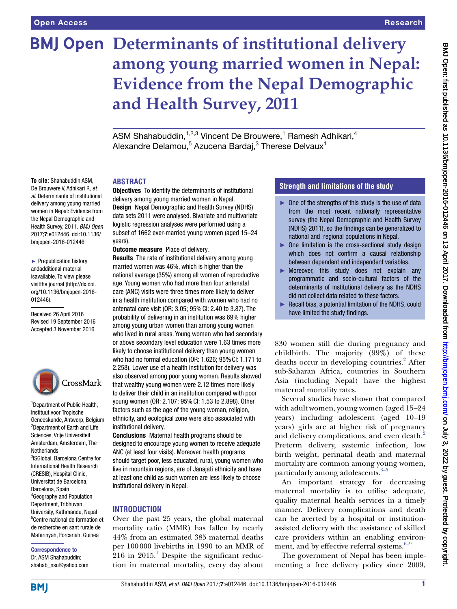**To cite:** Shahabuddin ASM, De Brouwere V, Adhikari R*, et al*. Determinants of institutional delivery among young married women in Nepal: Evidence from the Nepal Demographic and Health Survey, 2011. *BMJ Open* 2017;7:e012446. doi:10.1136/ bmjopen-2016-012446

► Prepublication history andadditional material isavailable. To view please visitthe journal ([http://dx.doi.](http://dx.doi.org/10.1136/bmjopen-2016-012446) [org/10.1136/bmjopen-2016-](http://dx.doi.org/10.1136/bmjopen-2016-012446)

Received 26 April 2016 Revised 19 September 2016 Accepted 3 November 2016

1 Department of Public Health, Instituut voor Tropische Geneeskunde, Antwerp, Belgium 2 Department of Earth and Life Sciences, Vrije Universiteit Amsterdam, Amsterdam, The

CrossMark

3 ISGlobal, Barcelona Centre for International Health Research (CRESIB), Hospital Clinic, Universitat de Barcelona, Barcelona, Spain 4 Geography and Population Department, Tribhuvan University, Kathmandu, Nepal 5 Centre national de formation et de recherche en sant rurale de Maferinyah, Forcariah, Guinea

[012446\)](http://dx.doi.org/10.1136/bmjopen-2016-012446).

# **BMJ Open Determinants of institutional delivery among young married women in Nepal: Evidence from the Nepal Demographic and Health Survey, 2011**

ASM Shahabuddin,<sup>1,2,3</sup> Vincent De Brouwere,<sup>1</sup> Ramesh Adhikari,<sup>4</sup> Alexandre Delamou, $^5$  Azucena Bardaj, $^3$  Therese Delvaux $^1$ 

#### **ABSTRACT**

Objectives To identify the determinants of institutional delivery among young married women in Nepal. Design Nepal Demographic and Health Survey (NDHS) data sets 2011 were analysed. Bivariate and multivariate logistic regression analyses were performed using a subset of 1662 ever-married young women (aged 15–24 years).

Outcome measure Place of delivery.

Results The rate of institutional delivery among young married women was 46%, which is higher than the national average (35%) among all women of reproductive age. Young women who had more than four antenatal care (ANC) visits were three times more likely to deliver in a health institution compared with women who had no antenatal care visit (OR: 3.05; 95%CI: 2.40 to 3.87). The probability of delivering in an institution was 69% higher among young urban women than among young women who lived in rural areas. Young women who had secondary or above secondary level education were 1.63 times more likely to choose institutional delivery than young women who had no formal education (OR: 1.626; 95%CI: 1.171 to 2.258). Lower use of a health institution for delivery was also observed among poor young women. Results showed that wealthy young women were 2.12 times more likely to deliver their child in an institution compared with poor young women (OR: 2.107; 95%CI: 1.53 to 2.898). Other factors such as the age of the young woman, religion, ethnicity, and ecological zone were also associated with institutional delivery.

Conclusions Maternal health programs should be designed to encourage young women to receive adequate ANC (at least four visits). Moreover, health programs should target poor, less educated, rural, young women who live in mountain regions, are of Janajati ethnicity and have at least one child as such women are less likely to choose institutional delivery in Nepal.

#### **INTRODUCTION**

Over the past 25 years, the global maternal mortality ratio (MMR) has fallen by nearly 44% from an estimated 385 maternal deaths per 100000 livebirths in 1990 to an MMR of  $216$  $216$  $216$  in  $2015$ .<sup>1</sup> Despite the significant reduction in maternal mortality, every day about

### **Strength and limitations of the study**

- ► One of the strengths of this study is the use of data from the most recent nationally representative survey (the Nepal Demographic and Health Survey (NDHS) 2011), so the findings can be generalized to national and regional populations in Nepal.
- ► One limitation is the cross-sectional study design which does not confirm a causal relationship between dependent and independent variables.
- ► Moreover, this study does not explain any programmatic and socio-cultural factors of the determinants of institutional delivery as the NDHS did not collect data related to these factors.
- ► Recall bias, a potential limitation of the NDHS, could have limited the study findings.

830 women still die during pregnancy and childbirth. The majority (99%) of these deaths occur in developing countries.<sup>[2](#page-6-1)</sup> After sub-Saharan Africa, countries in Southern Asia (including Nepal) have the highest maternal mortality rates.

Several studies have shown that compared with adult women, young women (aged 15–24 years) including adolescent (aged 10–19 years) girls are at higher risk of pregnancy and delivery complications, and even death.<sup>2</sup> Preterm delivery, systemic infection, low birth weight, perinatal death and maternal mortality are common among young women, particularly among adolescents. $3-5$ 

An important strategy for decreasing maternal mortality is to utilise adequate, quality maternal health services in a timely manner. Delivery complications and death can be averted by a hospital or institutionassisted delivery with the assistance of skilled care providers within an enabling environment, and by effective referral systems. $6-9$ 

The government of Nepal has been implementing a free delivery policy since 2009,

Correspondence to Dr. ASM Shahabuddin; shahab\_nsu@yahoo.com

**Netherlands**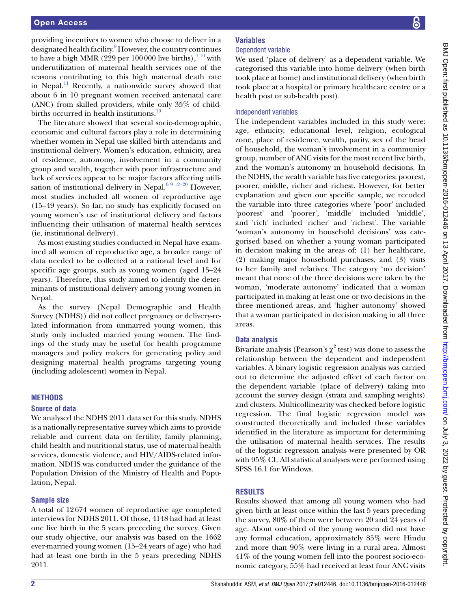providing incentives to women who choose to deliver in a designated health facility.<sup>[9](#page-6-4)</sup> However, the country continues to have a high MMR (229 per  $100000$  live births),  $110$  with underutilization of maternal health services one of the reasons contributing to this high maternal death rate in Nepal. $11$  Recently, a nationwide survey showed that about 6 in 10 pregnant women received antenatal care (ANC) from skilled providers, while only 35% of childbirths occurred in health institutions.<sup>10</sup>

The literature showed that several socio-demographic, economic and cultural factors play a role in determining whether women in Nepal use skilled birth attendants and institutional delivery. Women's education, ethnicity, area of residence, autonomy, involvement in a community group and wealth, together with poor infrastructure and lack of services appear to be major factors affecting utilisation of institutional delivery in Nepal.<sup>6 9 12–20</sup> However, most studies included all women of reproductive age (15–49 years). So far, no study has explicitly focused on young women's use of institutional delivery and factors influencing their utilisation of maternal health services (ie, institutional delivery).

As most existing studies conducted in Nepal have examined all women of reproductive age, a broader range of data needed to be collected at a national level and for specific age groups, such as young women (aged 15–24 years). Therefore, this study aimed to identify the determinants of institutional delivery among young women in Nepal.

As the survey (Nepal Demographic and Health Survey (NDHS)) did not collect pregnancy or delivery-related information from unmarred young women, this study only included married young women. The findings of the study may be useful for health programme managers and policy makers for generating policy and designing maternal health programs targeting young (including adolescent) women in Nepal.

#### **METHODS**

#### **Source of data**

We analysed the NDHS 2011 data set for this study. NDHS is a nationally representative survey which aims to provide reliable and current data on fertility, family planning, child health and nutritional status, use of maternal health services, domestic violence, and HIV/AIDS-related information. NDHS was conducted under the guidance of the Population Division of the Ministry of Health and Population, Nepal.

#### **Sample size**

A total of 12674 women of reproductive age completed interviews for NDHS 2011. Of those, 4148 had had at least one live birth in the 5 years preceding the survey. Given our study objective, our analysis was based on the 1662 ever-married young women (15–24 years of age) who had had at least one birth in the 5 years preceding NDHS 2011.

## **Variables**

Dependent variable

We used 'place of delivery' as a dependent variable. We categorised this variable into home delivery (when birth took place at home) and institutional delivery (when birth took place at a hospital or primary healthcare centre or a health post or sub-health post).

#### Independent variables

The independent variables included in this study were: age, ethnicity, educational level, religion, ecological zone, place of residence, wealth, parity, sex of the head of household, the woman's involvement in a community group, number of ANC visits for the most recent live birth, and the woman's autonomy in household decisions. In the NDHS, the wealth variable has five categories: poorest, poorer, middle, richer and richest. However, for better explanation and given our specific sample, we recoded the variable into three categories where 'poor' included 'poorest' and 'poorer', 'middle' included 'middle', and 'rich' included 'richer' and 'richest'. The variable 'woman's autonomy in household decisions' was categorised based on whether a young woman participated in decision making in the areas of: (1) her healthcare, (2) making major household purchases, and (3) visits to her family and relatives. The category 'no decision' meant that none of the three decisions were taken by the woman, 'moderate autonomy' indicated that a woman participated in making at least one or two decisions in the three mentioned areas, and 'higher autonomy' showed that a woman participated in decision making in all three areas.

### **Data analysis**

Bivariate analysis (Pearson's  $\chi^2$  test) was done to assess the relationship between the dependent and independent variables. A binary logistic regression analysis was carried out to determine the adjusted effect of each factor on the dependent variable (place of delivery) taking into account the survey design (strata and sampling weights) and clusters. Multicollinearity was checked before logistic regression. The final logistic regression model was constructed theoretically and included those variables identified in the literature as important for determining the utilisation of maternal health services. The results of the logistic regression analysis were presented by OR with 95% CI. All statistical analyses were performed using SPSS 16.1 for Windows.

### **RESULTS**

Results showed that among all young women who had given birth at least once within the last 5 years preceding the survey, 80% of them were between 20 and 24 years of age. About one-third of the young women did not have any formal education, approximately 85% were Hindu and more than 90% were living in a rural area. Almost 41% of the young women fell into the poorest socio-economic category, 55% had received at least four ANC visits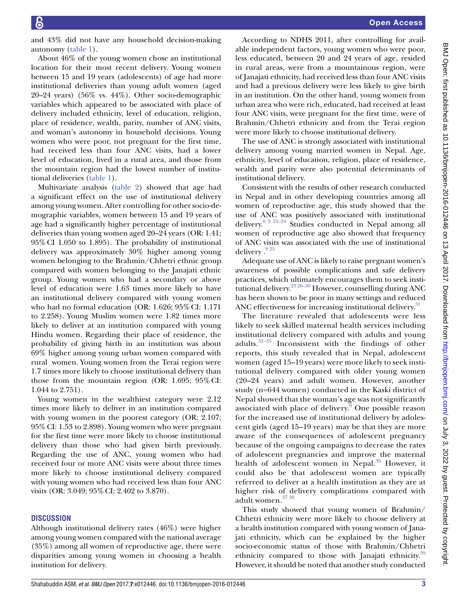and 43% did not have any household decision-making autonomy [\(table](#page-3-0) 1).

About 46% of the young women chose an institutional location for their most recent delivery. Young women between 15 and 19 years (adolescents) of age had more institutional deliveries than young adult women (aged 20–24 years) (56% vs. 44%). Other socio-demographic variables which appeared to be associated with place of delivery included ethnicity, level of education, religion, place of residence, wealth, parity, number of ANC visits, and woman's autonomy in household decisions. Young women who were poor, not pregnant for the first time, had received less than four ANC visits, had a lower level of education, lived in a rural area, and those from the mountain region had the lowest number of institutional deliveries [\(table](#page-3-0) 1).

Multivariate analysis [\(table](#page-5-0) 2) showed that age had a significant effect on the use of institutional delivery among young women. After controlling for other socio-demographic variables, women between 15 and 19 years of age had a significantly higher percentage of institutional deliveries than young women aged 20–24 years (OR: 1.41; 95%CI 1.050 to 1.895). The probability of institutional delivery was approximately 30% higher among young women belonging to the Brahmin/Chhetri ethnic group compared with women belonging to the Janajati ethnic group. Young women who had a secondary or above level of education were 1.63 times more likely to have an institutional delivery compared with young women who had no formal education (OR: 1.626; 95%CI: 1.171 to 2.258). Young Muslim women were 1.82 times more likely to deliver at an institution compared with young Hindu women. Regarding their place of residence, the probability of giving birth in an institution was about 69% higher among young urban women compared with rural women. Young women from the Terai region were 1.7 times more likely to choose institutional delivery than those from the mountain region (OR: 1.695; 95%CI: 1.044 to 2.751).

Young women in the wealthiest category were 2.12 times more likely to deliver in an institution compared with young women in the poorest category (OR: 2.107; 95%CI: 1.53 to 2.898). Young women who were pregnant for the first time were more likely to choose institutional delivery than those who had given birth previously. Regarding the use of ANC, young women who had received four or more ANC visits were about three times more likely to choose institutional delivery compared with young women who had received less than four ANC visits (OR: 3.049; 95%CI: 2.402 to 3.870).

#### **DISCUSSION**

Although institutional delivery rates (46%) were higher among young women compared with the national average (35%) among all women of reproductive age, there were disparities among young women in choosing a health institution for delivery.

According to NDHS 2011, after controlling for available independent factors, young women who were poor, less educated, between 20 and 24 years of age, resided in rural areas, were from a mountainous region, were of Janajati ethnicity, had received less than four ANC visits and had a previous delivery were less likely to give birth in an institution. On the other hand, young women from urban area who were rich, educated, had received at least four ANC visits, were pregnant for the first time, were of Brahmin/Chhetri ethnicity and from the Terai region were more likely to choose institutional delivery.

The use of ANC is strongly associated with institutional delivery among young married women in Nepal. Age, ethnicity, level of education, religion, place of residence, wealth and parity were also potential determinants of institutional delivery.

Consistent with the results of other research conducted in Nepal and in other developing countries among all women of reproductive age, this study showed that the use of ANC was positively associated with institutional delivery.<sup>[6 9 21–24](#page-6-3)</sup> Studies conducted in Nepal among all women of reproductive age also showed that frequency of ANC visits was associated with the use of institutional delivery.  $9^{925}$ 

Adequate use of ANC is likely to raise pregnant women's awareness of possible complications and safe delivery practices, which ultimately encourages them to seek institutional delivery. $23\frac{26-30}{2}$  However, counselling during ANC has been shown to be poor in many settings and reduced ANC effectiveness for increasing institutional delivery.<sup>31</sup>

The literature revealed that adolescents were less likely to seek skilled maternal health services including institutional delivery compared with adults and young adults.[32–35](#page-6-9) Inconsistent with the findings of other reports, this study revealed that in Nepal, adolescent women (aged 15–19 years) were more likely to seek institutional delivery compared with older young women (20–24 years) and adult women. However, another study (n=644 women) conducted in the Kaski district of Nepal showed that the woman's age was not significantly associated with place of delivery.<sup>[9](#page-6-4)</sup> One possible reason for the increased use of institutional delivery by adolescent girls (aged 15–19 years) may be that they are more aware of the consequences of adolescent pregnancy because of the ongoing campaigns to decrease the rates of adolescent pregnancies and improve the maternal health of adolescent women in Nepal. $36$  However, it could also be that adolescent women are typically referred to deliver at a health institution as they are at higher risk of delivery complications compared with adult women.[37 38](#page-7-1)

This study showed that young women of Brahmin/ Chhetri ethnicity were more likely to choose delivery at a health institution compared with young women of Janajati ethnicity, which can be explained by the higher socio-economic status of those with Brahmin/Chhetri ethnicity compared to those with Janajati ethnicity.<sup>[39](#page-7-2)</sup> However, it should be noted that another study conducted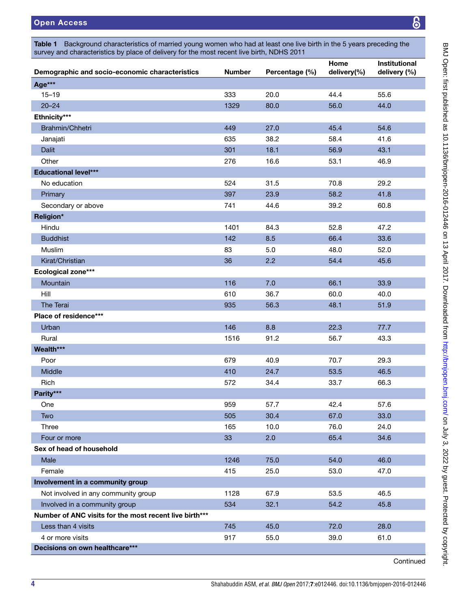<span id="page-3-0"></span>

| survey and characteristics by place of delivery for the most recent live birth, NDHS 2011 |               |                |                     |                               |
|-------------------------------------------------------------------------------------------|---------------|----------------|---------------------|-------------------------------|
| Demographic and socio-economic characteristics                                            | <b>Number</b> | Percentage (%) | Home<br>delivery(%) | Institutional<br>delivery (%) |
| Age***                                                                                    |               |                |                     |                               |
| $15 - 19$                                                                                 | 333           | 20.0           | 44.4                | 55.6                          |
| $20 - 24$                                                                                 | 1329          | 80.0           | 56.0                | 44.0                          |
| Ethnicity***                                                                              |               |                |                     |                               |
| Brahmin/Chhetri                                                                           | 449           | 27.0           | 45.4                | 54.6                          |
| Janajati                                                                                  | 635           | 38.2           | 58.4                | 41.6                          |
| Dalit                                                                                     | 301           | 18.1           | 56.9                | 43.1                          |
| Other                                                                                     | 276           | 16.6           | 53.1                | 46.9                          |
| <b>Educational level***</b>                                                               |               |                |                     |                               |
| No education                                                                              | 524           | 31.5           | 70.8                | 29.2                          |
| Primary                                                                                   | 397           | 23.9           | 58.2                | 41.8                          |
| Secondary or above                                                                        | 741           | 44.6           | 39.2                | 60.8                          |
| Religion*                                                                                 |               |                |                     |                               |
| Hindu                                                                                     | 1401          | 84.3           | 52.8                | 47.2                          |
| <b>Buddhist</b>                                                                           | 142           | 8.5            | 66.4                | 33.6                          |
| Muslim                                                                                    | 83            | 5.0            | 48.0                | 52.0                          |
| Kirat/Christian                                                                           | 36            | 2.2            | 54.4                | 45.6                          |
| <b>Ecological zone***</b>                                                                 |               |                |                     |                               |
| Mountain                                                                                  | 116           | 7.0            | 66.1                | 33.9                          |
| Hill                                                                                      | 610           | 36.7           | 60.0                | 40.0                          |
| The Terai                                                                                 | 935           | 56.3           | 48.1                | 51.9                          |
| Place of residence***                                                                     |               |                |                     |                               |
| Urban                                                                                     | 146           | 8.8            | 22.3                | 77.7                          |
| Rural                                                                                     | 1516          | 91.2           | 56.7                | 43.3                          |
| Wealth***                                                                                 |               |                |                     |                               |
| Poor                                                                                      | 679           | 40.9           | 70.7                | 29.3                          |
| Middle                                                                                    | 410           | 24.7           | 53.5                | 46.5                          |
| Rich                                                                                      | 572           | 34.4           | 33.7                | 66.3                          |
| Parity***                                                                                 |               |                |                     |                               |
| One                                                                                       | 959           | 57.7           | 42.4                | 57.6                          |
| Two                                                                                       | 505           | 30.4           | 67.0                | 33.0                          |
| Three                                                                                     | 165           | 10.0           | 76.0                | 24.0                          |
| Four or more                                                                              | 33            | 2.0            | 65.4                | 34.6                          |
| Sex of head of household                                                                  |               |                |                     |                               |
| Male                                                                                      | 1246          | 75.0           | 54.0                | 46.0                          |
| Female                                                                                    | 415           | 25.0           | 53.0                | 47.0                          |
| Involvement in a community group                                                          |               |                |                     |                               |
| Not involved in any community group                                                       | 1128          | 67.9           | 53.5                | 46.5                          |
| Involved in a community group                                                             | 534           | 32.1           | 54.2                | 45.8                          |
| Number of ANC visits for the most recent live birth***                                    |               |                |                     |                               |
| Less than 4 visits                                                                        | 745           | 45.0           | 72.0                | 28.0                          |
| 4 or more visits                                                                          | 917           | 55.0           | 39.0                | 61.0                          |
| Decisions on own healthcare***                                                            |               |                |                     |                               |
|                                                                                           |               |                |                     |                               |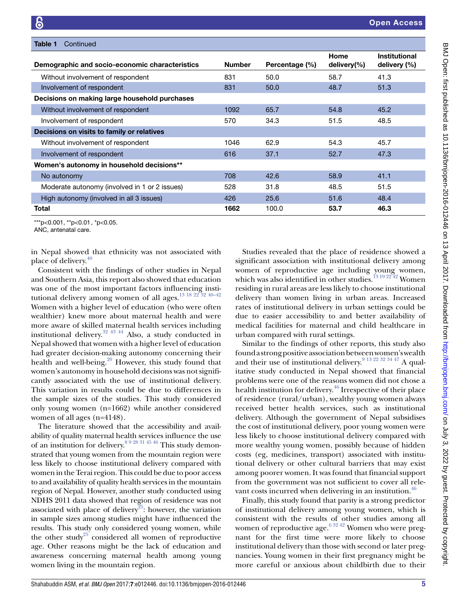| Table 1<br>Continued                           |               |                |                         |                                      |
|------------------------------------------------|---------------|----------------|-------------------------|--------------------------------------|
| Demographic and socio-economic characteristics | <b>Number</b> | Percentage (%) | Home<br>delivery $(\%)$ | <b>Institutional</b><br>delivery (%) |
| Without involvement of respondent              | 831           | 50.0           | 58.7                    | 41.3                                 |
| Involvement of respondent                      | 831           | 50.0           | 48.7                    | 51.3                                 |
| Decisions on making large household purchases  |               |                |                         |                                      |
| Without involvement of respondent              | 1092          | 65.7           | 54.8                    | 45.2                                 |
| Involvement of respondent                      | 570           | 34.3           | 51.5                    | 48.5                                 |
| Decisions on visits to family or relatives     |               |                |                         |                                      |
| Without involvement of respondent              | 1046          | 62.9           | 54.3                    | 45.7                                 |
| Involvement of respondent                      | 616           | 37.1           | 52.7                    | 47.3                                 |
| Women's autonomy in household decisions**      |               |                |                         |                                      |
| No autonomy                                    | 708           | 42.6           | 58.9                    | 41.1                                 |
| Moderate autonomy (involved in 1 or 2 issues)  | 528           | 31.8           | 48.5                    | 51.5                                 |
| High autonomy (involved in all 3 issues)       | 426           | 25.6           | 51.6                    | 48.4                                 |
| Total                                          | 1662          | 100.0          | 53.7                    | 46.3                                 |
|                                                |               |                |                         |                                      |

\*\*\*p<0.001, \*\*p<0.01, \*p<0.05.

ANC, antenatal care.

in Nepal showed that ethnicity was not associated with place of delivery.<sup>40</sup>

Consistent with the findings of other studies in Nepal and Southern Asia, this report also showed that education was one of the most important factors influencing institutional delivery among women of all ages.<sup>13 18 22 32 40-42</sup> Women with a higher level of education (who were often wealthier) knew more about maternal health and were more aware of skilled maternal health services including institutional delivery.<sup>32 43 44</sup> Also, a study conducted in Nepal showed that women with a higher level of education had greater decision-making autonomy concerning their health and well-being.<sup>[20](#page-6-11)</sup> However, this study found that women's autonomy in household decisions was not significantly associated with the use of institutional delivery. This variation in results could be due to differences in the sample sizes of the studies. This study considered only young women (n=1662) while another considered women of all ages (n=4148).

The literature showed that the accessibility and availability of quality maternal health services influence the use of an institution for delivery.[8 9 28 31 45 46](#page-6-12) This study demonstrated that young women from the mountain region were less likely to choose institutional delivery compared with women in the Terai region. This could be due to poor access to and availability of quality health services in the mountain region of Nepal. However, another study conducted using NDHS 2011 data showed that region of residence was not associated with place of delivery<sup>25</sup>: however, the variation in sample sizes among studies might have influenced the results. This study only considered young women, while the other study<sup>25</sup> considered all women of reproductive age. Other reasons might be the lack of education and awareness concerning maternal health among young women living in the mountain region.

Studies revealed that the place of residence showed a significant association with institutional delivery among women of reproductive age including young women, which was also identified in other studies.<sup>13 19 22 42</sup> Women residing in rural areas are less likely to choose institutional delivery than women living in urban areas. Increased rates of institutional delivery in urban settings could be due to easier accessibility to and better availability of medical facilities for maternal and child healthcare in urban compared with rural settings.

Similar to the findings of other reports, this study also found a strong positive association between women'swealth and their use of institutional delivery.<sup>9 13 22 32 34 47</sup> A qualitative study conducted in Nepal showed that financial problems were one of the reasons women did not chose a health institution for delivery. $46$  Irrespective of their place of residence (rural/urban), wealthy young women always received better health services, such as institutional delivery. Although the government of Nepal subsidises the cost of institutional delivery, poor young women were less likely to choose institutional delivery compared with more wealthy young women, possibly because of hidden costs (eg, medicines, transport) associated with institutional delivery or other cultural barriers that may exist among poorer women. It was found that financial support from the government was not sufficient to cover all relevant costs incurred when delivering in an institution.<sup>46</sup>

Finally, this study found that parity is a strong predictor of institutional delivery among young women, which is consistent with the results of other studies among all women of reproductive age.<sup>6 32 42</sup> Women who were pregnant for the first time were more likely to choose institutional delivery than those with second or later pregnancies. Young women in their first pregnancy might be more careful or anxious about childbirth due to their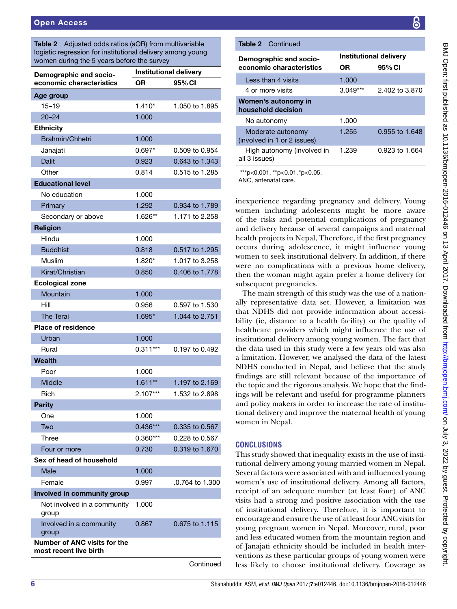<span id="page-5-0"></span>

| <b>Table 2</b> Adjusted odds ratios (aOR) from multivariable |
|--------------------------------------------------------------|
| logistic regression for institutional delivery among young   |
| women during the 5 years before the survey                   |

| Demographic and socio-                                 | <b>Institutional delivery</b> |                 |  |
|--------------------------------------------------------|-------------------------------|-----------------|--|
| economic characteristics                               | ΟR                            | 95% CI          |  |
| Age group                                              |                               |                 |  |
| $15 - 19$                                              | $1.410*$                      | 1.050 to 1.895  |  |
| $20 - 24$                                              | 1.000                         |                 |  |
| <b>Ethnicity</b>                                       |                               |                 |  |
| Brahmin/Chhetri                                        | 1.000                         |                 |  |
| Janajati                                               | $0.697*$                      | 0.509 to 0.954  |  |
| <b>Dalit</b>                                           | 0.923                         | 0.643 to 1.343  |  |
| Other                                                  | 0.814                         | 0.515 to 1.285  |  |
| <b>Educational level</b>                               |                               |                 |  |
| No education                                           | 1.000                         |                 |  |
| Primary                                                | 1.292                         | 0.934 to 1.789  |  |
| Secondary or above                                     | 1.626**                       | 1.171 to 2.258  |  |
| Religion                                               |                               |                 |  |
| Hindu                                                  | 1.000                         |                 |  |
| <b>Buddhist</b>                                        | 0.818                         | 0.517 to 1.295  |  |
| Muslim                                                 | 1.820*                        | 1.017 to 3.258  |  |
| Kirat/Christian                                        | 0.850                         | 0.406 to 1.778  |  |
| <b>Ecological zone</b>                                 |                               |                 |  |
| Mountain                                               | 1.000                         |                 |  |
| Hill                                                   | 0.956                         | 0.597 to 1.530  |  |
| The Terai                                              | 1.695*                        | 1.044 to 2.751  |  |
| <b>Place of residence</b>                              |                               |                 |  |
| Urban                                                  | 1.000                         |                 |  |
| Rural                                                  | $0.311***$                    | 0.197 to 0.492  |  |
| <b>Wealth</b>                                          |                               |                 |  |
| Poor                                                   | 1.000                         |                 |  |
| Middle                                                 | $1.611**$                     | 1.197 to 2.169  |  |
| Rich                                                   | $2.107***$                    | 1.532 to 2.898  |  |
| <b>Parity</b>                                          |                               |                 |  |
| One                                                    | 1.000                         |                 |  |
| Two                                                    | $0.436***$                    | 0.335 to 0.567  |  |
| Three                                                  | $0.360***$                    | 0.228 to 0.567  |  |
| Four or more                                           | 0.730                         | 0.319 to 1.670  |  |
| Sex of head of household                               |                               |                 |  |
| Male                                                   | 1.000                         |                 |  |
| Female                                                 | 0.997                         | .0.764 to 1.300 |  |
| Involved in community group                            |                               |                 |  |
| Not involved in a community<br>group                   | 1.000                         |                 |  |
| Involved in a community<br>group                       | 0.867                         | 0.675 to 1.115  |  |
| Number of ANC visits for the<br>most recent live birth |                               |                 |  |

**Continued** 

| <b>Table 2</b> Continued                         |                        |                |  |
|--------------------------------------------------|------------------------|----------------|--|
| Demographic and socio-                           | Institutional delivery |                |  |
| economic characteristics                         | OR                     | 95% CI         |  |
| Less than 4 visits                               | 1.000                  |                |  |
| 4 or more visits                                 | $3.049***$             | 2.402 to 3.870 |  |
| Women's autonomy in<br>household decision        |                        |                |  |
| No autonomy                                      | 1.000                  |                |  |
| Moderate autonomy<br>(involved in 1 or 2 issues) | 1.255                  | 0.955 to 1.648 |  |
| High autonomy (involved in<br>all 3 issues)      | 1.239                  | 0.923 to 1.664 |  |

\*\*\*p<0.001, \*\*p<0.01,\*p<0.05.

ANC, antenatal care.

inexperience regarding pregnancy and delivery. Young women including adolescents might be more aware of the risks and potential complications of pregnancy and delivery because of several campaigns and maternal health projects in Nepal, Therefore, if the first pregnancy occurs during adolescence, it might influence young women to seek institutional delivery. In addition, if there were no complications with a previous home delivery, then the woman might again prefer a home delivery for subsequent pregnancies.

The main strength of this study was the use of a nationally representative data set. However, a limitation was that NDHS did not provide information about accessibility (ie, distance to a health facility) or the quality of healthcare providers which might influence the use of institutional delivery among young women. The fact that the data used in this study were a few years old was also a limitation. However, we analysed the data of the latest NDHS conducted in Nepal, and believe that the study findings are still relevant because of the importance of the topic and the rigorous analysis. We hope that the findings will be relevant and useful for programme planners and policy makers in order to increase the rate of institutional delivery and improve the maternal health of young women in Nepal.

#### **CONCLUSIONS**

This study showed that inequality exists in the use of institutional delivery among young married women in Nepal. Several factors were associated with and influenced young women's use of institutional delivery. Among all factors, receipt of an adequate number (at least four) of ANC visits had a strong and positive association with the use of institutional delivery. Therefore, it is important to encourage and ensure the use of at least four ANC visitsfor young pregnant women in Nepal. Moreover, rural, poor and less educated women from the mountain region and of Janajati ethnicity should be included in health interventions as these particular groups of young women were less likely to choose institutional delivery. Coverage as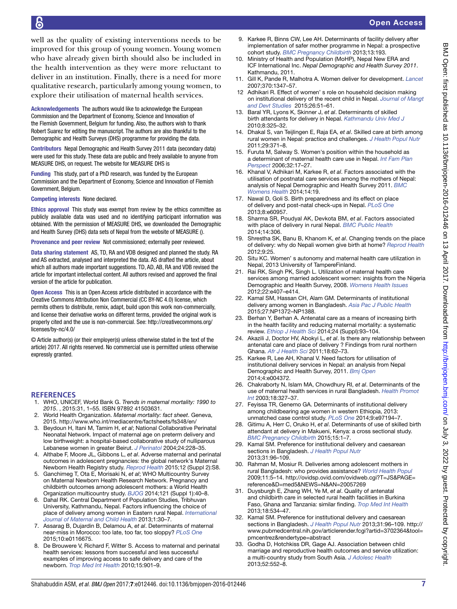well as the quality of existing interventions needs to be improved for this group of young women. Young women who have already given birth should also be included in the health intervention as they were more reluctant to deliver in an institution. Finally, there is a need for more qualitative research, particularly among young women, to explore their utilisation of maternal health services.

Acknowledgements The authors would like to acknowledge the European Commission and the Department of Economy, Science and Innovation of the Flemish Government, Belgium for funding. Also, the authors wish to thank Robert Suarez for editing the manuscript. The authors are also thankful to the Demographic and Health Surveys (DHS) programme for providing the data.

Contributors Nepal Demographic and Health Survey 2011 data (secondary data) were used for this study. These data are public and freely available to anyone from MEASURE DHS, on request. The website for MEASURE DHS is

Funding This study, part of a PhD research, was funded by the European Commission and the Department of Economy, Science and Innovation of Flemish Government, Belgium.

Competing interests None declared.

Ethics approval This study was exempt from review by the ethics committee as publicly available data was used and no identifying participant information was obtained. With the permission of MEASURE DHS, we downloaded the Demographic and Health Survey (DHS) data sets of Nepal from the website of MEASURE ().

Provenance and peer review Not commissioned; externally peer reviewed.

Data sharing statement AS, TD, RA and VDB designed and planned the study. RA and AS extracted, analysed and interpreted the data. AS drafted the article, about which all authors made important suggestions. TD, AD, AB, RA and VDB revised the article for important intellectual content. All authors revised and approved the final version of the article for publication.

Open Access This is an Open Access article distributed in accordance with the Creative Commons Attribution Non Commercial (CC BY-NC 4.0) license, which permits others to distribute, remix, adapt, build upon this work non-commercially, and license their derivative works on different terms, provided the original work is properly cited and the use is non-commercial. See: [http://creativecommons.org/](http://creativecommons.org/licenses/by-nc/4.0/) [licenses/by-nc/4.0/](http://creativecommons.org/licenses/by-nc/4.0/)

© Article author(s) (or their employer(s) unless otherwise stated in the text of the article) 2017. All rights reserved. No commercial use is permitted unless otherwise expressly granted.

#### **REFERENCES**

- <span id="page-6-0"></span>1. WHO, UNICEF, World Bank G. *Trends in maternal mortality: 1990 to 2015*. , 2015:31, 1–55. ISBN 97892 41503631.
- <span id="page-6-1"></span>2. World Health Organization. *Maternal mortality: fact sheet*. Geneva, 2015.<http://www.who.int/mediacentre/factsheets/fs348/en/>
- <span id="page-6-2"></span>3. Beydoun H, Itani M, Tamim H, *et al*; National Collaborative Perinatal Neonatal Network. Impact of maternal age on preterm delivery and low birthweight: a hospital-based collaborative study of nulliparous Lebanese women in greater Beirut. *[J Perinatol](http://dx.doi.org/10.1038/sj.jp.7211064)* 2004;24:228–35.
- 4. Althabe F, Moore JL, Gibbons L, *et al*. Adverse maternal and perinatal outcomes in adolescent pregnancies: the global network's Maternal Newborn Health Registry study. *[Reprod Health](http://dx.doi.org/10.1186/1742-4755-12-S2-S8)* 2015;12 (Suppl 2):S8.
- 5. Ganchimeg T, Ota E, Morisaki N, *et al*; WHO Multicountry Survey on Maternal Newborn Health Research Network. Pregnancy and childbirth outcomes among adolescent mothers: a World Health Organization multicountry study. *[BJOG](http://dx.doi.org/10.1111/1471-0528.12630)* 2014;121 (Suppl 1):40–8.
- <span id="page-6-3"></span>6. Dahal RK. Central Department of Population Studies, Tribhuvan University, Kathmandu, Nepal. Factors influencing the choice of place of delivery among women in Eastern rural Nepal. *[International](http://dx.doi.org/10.12966/ijmch.07.03.2013)  [Journal of Maternal and Child Health](http://dx.doi.org/10.12966/ijmch.07.03.2013)* 2013;1:30–7.
- 7. Assarag B, Dujardin B, Delamou A, *et al*. Determinants of maternal near-miss in Morocco: too late, too far, too sloppy? *[PLoS One](http://dx.doi.org/10.1371/journal.pone.0116675)* 2015;10:e0116675.
- <span id="page-6-12"></span>8. De Brouwere V, Richard F, Witter S. Access to maternal and perinatal health services: lessons from successful and less successful examples of improving access to safe delivery and care of the newborn. *[Trop Med Int Health](http://dx.doi.org/10.1111/j.1365-3156.2010.02558.x)* 2010;15:901–9.
- <span id="page-6-4"></span>9. Karkee R, Binns CW, Lee AH. Determinants of facility delivery after implementation of safer mother programme in Nepal: a prospective cohort study. *[BMC Pregnancy Childbirth](http://dx.doi.org/10.1186/1471-2393-13-193)* 2013;13:193.
- <span id="page-6-6"></span>10. Ministry of Health and Population (MoHP), Nepal New ERA and ICF International Inc. *Nepal Demographic and Health Survey 2011*. Kathmandu, 2011.
- <span id="page-6-5"></span>11. Gill K, Pande R, Malhotra A. Women deliver for development. *[Lancet](http://dx.doi.org/10.1016/S0140-6736(07)61577-3)* 2007;370:1347–57.
- 12 Adhikari R. Effect of women' s role on household decision making on institutional delivery of the recent child in Nepal. *Journal of Mangt and Devt Studies*  2015;26:51–61.
- <span id="page-6-10"></span>13. Baral YR, Lyons K, Skinner J, *et al*. Determinants of skilled birth attendants for delivery in Nepal. *Kathmandu Univ Med J* 2010;8:325–32.
- 14. Dhakal S, van Teijlingen E, Raja EA, *et al*. Skilled care at birth among rural women in Nepal: practice and challenges. *[J Health Popul Nutr](http://dx.doi.org/10.3329/jhpn.v29i4.8453)* 2011;29:371–8.
- 15. Furuta M, Salway S. Women's position within the household as a determinant of maternal health care use in Nepal. *[Int Fam Plan](http://dx.doi.org/10.1363/3201706)  [Perspect](http://dx.doi.org/10.1363/3201706)* 2006;32:17–27.
- 16. Khanal V, Adhikari M, Karkee R, *et al*. Factors associated with the utilisation of postnatal care services among the mothers of Nepal: analysis of Nepal Demographic and Health Survey 2011. *[BMC](http://dx.doi.org/10.1186/1472-6874-14-19)  [Womens Health](http://dx.doi.org/10.1186/1472-6874-14-19)* 2014;14:19.
- 17. Nawal D, Goli S. Birth preparedness and its effect on place of delivery and post-natal check-ups in Nepal. *[PLoS One](http://dx.doi.org/10.1371/journal.pone.0060957)* 2013;8:e60957.
- 18. Sharma SR, Poudyal AK, Devkota BM, *et al*. Factors associated with place of delivery in rural Nepal. *[BMC Public Health](http://dx.doi.org/10.1186/1471-2458-14-306)* 2014;14:306.
- 19. Shrestha SK, Banu B, Khanom K, *et al*. Changing trends on the place of delivery: why do Nepali women give birth at home? *[Reprod Health](http://dx.doi.org/10.1186/1742-4755-9-25)* 2012;9:25.
- <span id="page-6-11"></span>20. Situ KC. Women' s autonomy and maternal health care utilization in Nepal, 2013 University of TampereFinland.
- 21. Rai RK, Singh PK, Singh L. Utilization of maternal health care services among married adolescent women: insights from the Nigeria Demographic and Health Survey, 2008. *[Womens Health Issues](http://dx.doi.org/10.1016/j.whi.2012.05.001)* 2012;22:e407–e414.
- 22. Kamal SM, Hassan CH, Alam GM. Determinants of institutional delivery among women in Bangladesh. *[Asia Pac J Public Health](http://dx.doi.org/10.1177/1010539513486178)* 2015;27:NP1372–NP1388.
- <span id="page-6-7"></span>23. Berhan Y, Berhan A. Antenatal care as a means of increasing birth in the health facility and reducing maternal mortality: a systematic review. *[Ethiop J Health Sci](http://dx.doi.org/10.4314/ejhs.v24i0.9S)* 2014;24 (Suppl):93–104.
- 24. Akazili J, Doctor HV, Abokyi L, *et al*. Is there any relationship between antenatal care and place of delivery ? Findings from rural northern Ghana. *Afr J Health Sci* 2011;18:62–73.
- <span id="page-6-13"></span>25. Karkee R, Lee AH, Khanal V. Need factors for utilisation of institutional delivery services in Nepal: an analysis from Nepal Demographic and Health Survey, 2011. *[Bmj Open](http://dx.doi.org/10.1136/bmjopen-2013-004372)* 2014;4:e004372.
- 26. Chakraborty N, Islam MA, Chowdhury RI, *et al*. Determinants of the use of maternal health services in rural Bangladesh. *[Health Promot](http://dx.doi.org/10.1093/heapro/dag414)  [Int](http://dx.doi.org/10.1093/heapro/dag414)* 2003;18:327–37.
- 27. Feyissa TR, Genemo GA. Determinants of institutional delivery among childbearing age women in western Ethiopia, 2013: unmatched case control study. *[PLoS One](http://dx.doi.org/10.1371/journal.pone.0097194)* 2014;9:e97194–7.
- 28. Gitimu A, Herr C, Oruko H, *et al*. Determinants of use of skilled birth attendant at delivery in Makueni, Kenya: a cross sectional study. *[BMC Pregnancy Childbirth](http://dx.doi.org/10.1186/s12884-015-0442-2)* 2015;15:1–7.
- 29. Kamal SM. Preference for institutional delivery and caesarean sections in Bangladesh. *J Health Popul Nutr* 2013;31:96–109.
- 30. Rahman M, Mosiur R. Deliveries among adolescent mothers in rural Bangladesh: who provides assistance? *[World Health Popul](http://dx.doi.org/10.12927/whp.2009.21039)* 2009;11:5–14. [http://ovidsp.ovid.com/ovidweb.cgi?T=JS&PAGE=](http://ovidsp.ovid.com/ovidweb.cgi?T=JS&PAGE=reference&D=med5&NEWS=N&AN=20057269) [reference&D=med5&NEWS=N&AN=20057269](http://ovidsp.ovid.com/ovidweb.cgi?T=JS&PAGE=reference&D=med5&NEWS=N&AN=20057269)
- <span id="page-6-8"></span>31. Duysburgh E, Zhang WH, Ye M, *et al*. Quality of antenatal and childbirth care in selected rural health facilities in Burkina Faso, Ghana and Tanzania: similar finding. *[Trop Med Int Health](http://dx.doi.org/10.1111/tmi.12076)* 2013;18:534–47.
- <span id="page-6-9"></span>32. Kamal SM. Preference for institutional delivery and caesarean sections in Bangladesh. *[J Health Popul Nutr](http://dx.doi.org/10.3329/jhpn.v31i1.14754)* 2013;31:96–109. [http://](http://www.pubmedcentral.nih.gov/articlerender.fcgi?artid=3702364&tool=pmcentrez&rendertype=abstract) [www.pubmedcentral.nih.gov/articlerender.fcgi?artid=3702364&tool=](http://www.pubmedcentral.nih.gov/articlerender.fcgi?artid=3702364&tool=pmcentrez&rendertype=abstract) [pmcentrez&rendertype=abstract](http://www.pubmedcentral.nih.gov/articlerender.fcgi?artid=3702364&tool=pmcentrez&rendertype=abstract)
- 33. Godha D, Hotchkiss DR, Gage AJ. Association between child marriage and reproductive health outcomes and service utilization: a multi-country study from South Asia. *[J Adolesc Health](http://dx.doi.org/10.1016/j.jadohealth.2013.01.021)* 2013;52:552–8.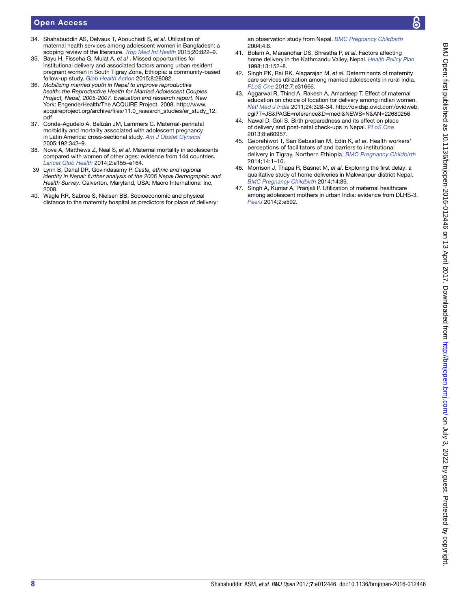#### Open Access

- 34. Shahabuddin AS, Delvaux T, Abouchadi S, *et al*. Utilization of maternal health services among adolescent women in Bangladesh: a scoping review of the literature. *[Trop Med Int Health](http://dx.doi.org/10.1111/tmi.12503)* 2015;20:822–9.
- 35. Bayu H, Fisseha G, Mulat A, *et al* . Missed opportunities for institutional delivery and associated factors among urban resident pregnant women in South Tigray Zone, Ethiopia: a community-based follow-up study. *[Glob Health Action](http://dx.doi.org/10.3402/gha.v8.28082)* 2015;8:28082.
- <span id="page-7-0"></span>36. *Mobilizing married youth in Nepal to improve reproductive health: the Reproductive Health for Married Adolescent Couples Project, Nepal, 2005-2007. Evaluation and research report*. New York: EngenderHealth/The ACQUIRE Project, 2008. [http://www.](http://www.acquireproject.org/archive/files/11.0_research_studies/er_study_12.pdf) [acquireproject.org/archive/files/11.0\\_research\\_studies/er\\_study\\_12.](http://www.acquireproject.org/archive/files/11.0_research_studies/er_study_12.pdf) [pdf](http://www.acquireproject.org/archive/files/11.0_research_studies/er_study_12.pdf)
- <span id="page-7-1"></span>37. Conde-Agudelo A, Belizán JM, Lammers C. Maternal-perinatal morbidity and mortality associated with adolescent pregnancy in Latin America: cross-sectional study. *[Am J Obstet Gynecol](http://dx.doi.org/10.1016/j.ajog.2004.10.593)* 2005;192:342–9.
- 38. Nove A, Matthews Z, Neal S, *et al*. Maternal mortality in adolescents compared with women of other ages: evidence from 144 countries. *[Lancet Glob Health](http://dx.doi.org/10.1016/S2214-109X(13)70179-7)* 2014;2:e155–e164.
- <span id="page-7-2"></span>39 Lynn B, Dahal DR, Govindasamy P. *Caste, ethnic and regional identity in Nepal: further analysis of the 2006 Nepal Demographic and Health Survey*. Calverton, Maryland, USA: Macro International Inc, 2008.
- <span id="page-7-3"></span>40. Wagle RR, Sabroe S, Nielsen BB. Socioeconomic and physical distance to the maternity hospital as predictors for place of delivery:

an observation study from Nepal. *[BMC Pregnancy Childbirth](http://dx.doi.org/10.1186/1471-2393-4-8)* 2004;4:8.

- 41. Bolam A, Manandhar DS, Shrestha P, *et al*. Factors affecting home delivery in the Kathmandu Valley, Nepal. *[Health Policy Plan](http://dx.doi.org/10.1093/heapol/13.2.152)* 1998;13:152–8.
- 42. Singh PK, Rai RK, Alagarajan M, *et al*. Determinants of maternity care services utilization among married adolescents in rural India. *[PLoS One](http://dx.doi.org/10.1371/journal.pone.0031666)* 2012;7:e31666.
- 43. Aggarwal R, Thind A, Rakesh A, Amardeep T. Effect of maternal education on choice of location for delivery among indian women. *Natl Med J India* 2011;24:328–34. [http://ovidsp.ovid.com/ovidweb.](http://ovidsp.ovid.com/ovidweb.cgi?T=JS&PAGE=reference&D=medl&NEWS=N&AN=22680256) [cgi?T=JS&PAGE=reference&D=medl&NEWS=N&AN=22680256](http://ovidsp.ovid.com/ovidweb.cgi?T=JS&PAGE=reference&D=medl&NEWS=N&AN=22680256)
- 44. Nawal D, Goli S. Birth preparedness and its effect on place of delivery and post-natal check-ups in Nepal. *[PLoS One](http://dx.doi.org/10.1371/journal.pone.0060957)* 2013;8:e60957.
- 45. Gebrehiwot T, San Sebastian M, Edin K, *et al*. Health workers' perceptions of facilitators of and barriers to institutional delivery in Tigray, Northern Ethiopia. *[BMC Pregnancy Childbirth](http://dx.doi.org/10.1186/1471-2393-14-137)* 2014;14:1–10.
- <span id="page-7-4"></span>46. Morrison J, Thapa R, Basnet M, *et al*. Exploring the first delay: a qualitative study of home deliveries in Makwanpur district Nepal. *[BMC Pregnancy Childbirth](http://dx.doi.org/10.1186/1471-2393-14-89)* 2014;14:89.
- 47. Singh A, Kumar A, Pranjali P. Utilization of maternal healthcare among adolescent mothers in urban India: evidence from DLHS-3. *[PeerJ](http://dx.doi.org/10.7717/peerj.592)* 2014;2:e592.